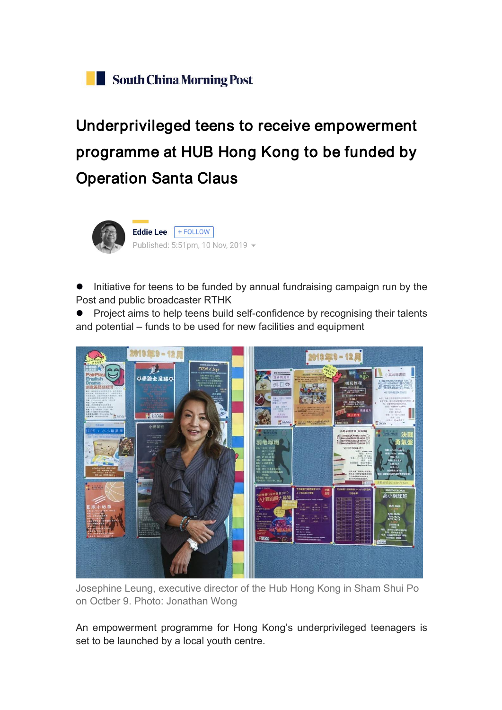## Underprivileged teens to receive empowerment programme at HUB Hong Kong to be funded by Operation Santa Claus



 Initiative for teens to be funded by annual fundraising campaign run by the Post and public broadcaster RTHK

• Project aims to help teens build self-confidence by recognising their talents and potential – funds to be used for new facilities and equipment



Josephine Leung, executive director of the Hub Hong Kong in Sham Shui Po on Octber 9. Photo: Jonathan Wong

An empowerment programme for Hong Kong's underprivileged teenagers is set to be launched by a local youth centre.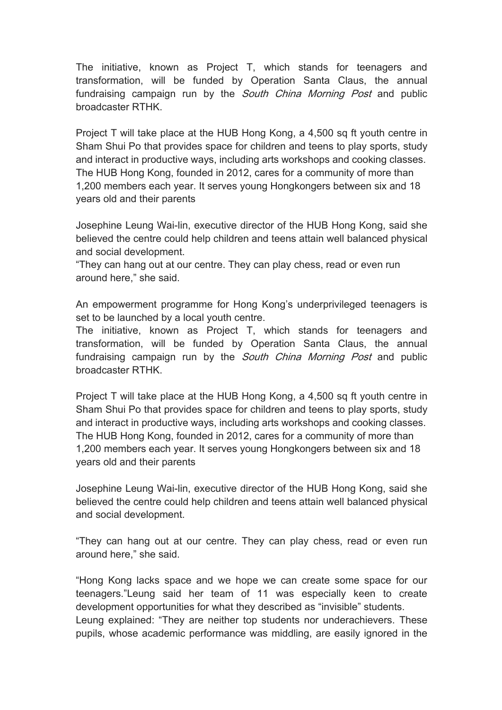The initiative, known as Project T, which stands for teenagers and transformation, will be funded by Operation Santa Claus, the annual fundraising campaign run by the South China Morning Post and public broadcaster RTHK.

Project T will take place at the HUB Hong Kong, a 4,500 sq ft youth centre in Sham Shui Po that provides space for children and teens to play sports, study and interact in productive ways, including arts workshops and cooking classes. The HUB Hong Kong, founded in 2012, cares for a community of more than 1,200 members each year. It serves young Hongkongers between six and 18 years old and their parents

Josephine Leung Wai-lin, executive director of the HUB Hong Kong, said she believed the centre could help children and teens attain well balanced physical and social development.

"They can hang out at our centre. They can play chess, read or even run around here," she said.

An empowerment programme for Hong Kong's underprivileged teenagers is set to be launched by a local youth centre.

The initiative, known as Project T, which stands for teenagers and transformation, will be funded by Operation Santa Claus, the annual fundraising campaign run by the *South China Morning Post* and public broadcaster RTHK.

Project T will take place at the HUB Hong Kong, a 4,500 sq ft youth centre in Sham Shui Po that provides space for children and teens to play sports, study and interact in productive ways, including arts workshops and cooking classes. The HUB Hong Kong, founded in 2012, cares for a community of more than 1,200 members each year. It serves young Hongkongers between six and 18 years old and their parents

Josephine Leung Wai-lin, executive director of the HUB Hong Kong, said she believed the centre could help children and teens attain well balanced physical and social development.

"They can hang out at our centre. They can play chess, read or even run around here," she said.

"Hong Kong lacks space and we hope we can create some space for our teenagers."Leung said her team of 11 was especially keen to create development opportunities for what they described as "invisible" students. Leung explained: "They are neither top students nor underachievers. These pupils, whose academic performance was middling, are easily ignored in the